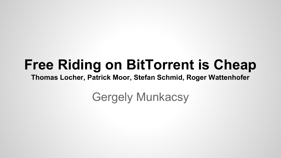#### **Free Riding on BitTorrent is Cheap**

**Thomas Locher, Patrick Moor, Stefan Schmid, Roger Wattenhofer**

Gergely Munkacsy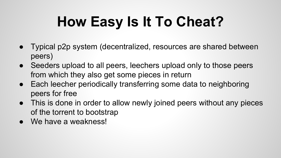# **How Easy Is It To Cheat?**

- Typical p2p system (decentralized, resources are shared between peers)
- Seeders upload to all peers, leechers upload only to those peers from which they also get some pieces in return
- Each leecher periodically transferring some data to neighboring peers for free
- This is done in order to allow newly joined peers without any pieces of the torrent to bootstrap
- We have a weakness!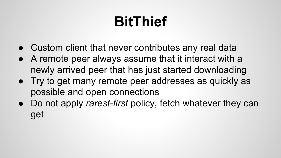### **BitThief**

- Custom client that never contributes any real data
- A remote peer always assume that it interact with a newly arrived peer that has just started downloading
- Try to get many remote peer addresses as quickly as possible and open connections
- Do not apply *rarest-first* policy, fetch whatever they can get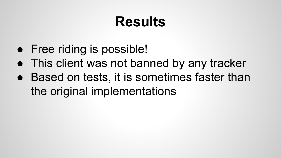### **Results**

- Free riding is possible!
- This client was not banned by any tracker
- Based on tests, it is sometimes faster than the original implementations